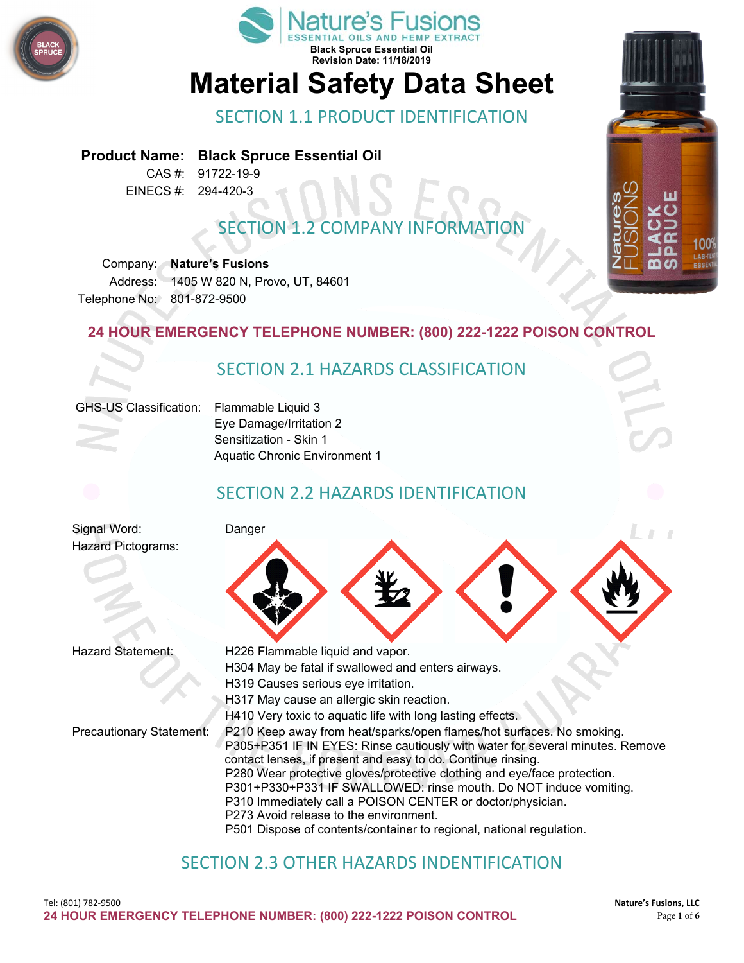



# **Material Safety Data Sheet**

SECTION 1.1 PRODUCT IDENTIFICATION

#### **Product Name: Black Spruce Essential Oil**

CAS #: 91722-19-9 EINECS #: 294-420-3

# **SECTION 1.2 COMPANY INFORMAT**

Company: **Nature's Fusions** Address: 1405 W 820 N, Provo, UT, 84601 Telephone No: 801-872-9500

#### **24 HOUR EMERGENCY TELEPHONE NUMBER: (800) 222-1222 POISON CONTROL**



## SECTION 2.3 OTHER HAZARDS INDENTIFICATION

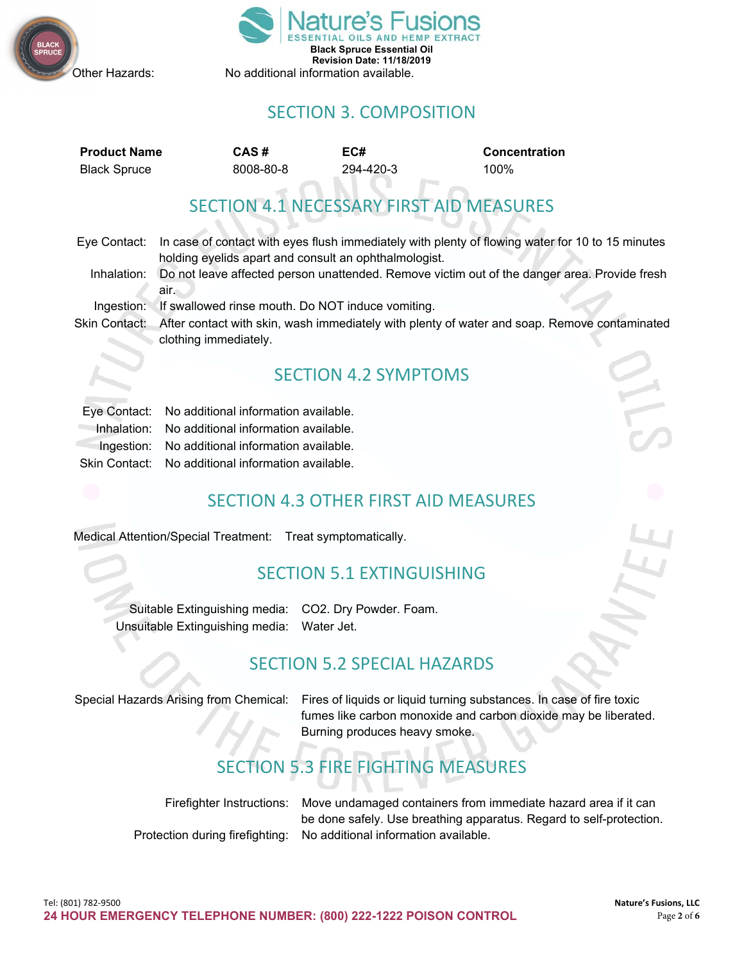



## SECTION 3. COMPOSITION

| <b>Product Name</b> | CAS#      | EC#       | <b>Concentration</b> |
|---------------------|-----------|-----------|----------------------|
| <b>Black Spruce</b> | 8008-80-8 | 294-420-3 | 100%                 |

SECTION 4.1 NECESSARY FIRST AID MEASURES

| Eye Contact: | In case of contact with eyes flush immediately with plenty of flowing water for 10 to 15 minutes           |
|--------------|------------------------------------------------------------------------------------------------------------|
|              | holding eyelids apart and consult an ophthalmologist.                                                      |
| Inhalation:  | Do not leave affected person unattended. Remove victim out of the danger area. Provide fresh               |
|              | air.                                                                                                       |
| Ingestion:   | If swallowed rinse mouth. Do NOT induce vomiting.                                                          |
|              | Clair Contact: After contact with okin wooh immodiately with planty of water and soon. Demays contaminated |

Skin Contact: After contact with skin, wash immediately with plenty of water and soap. Remove contaminated clothing immediately.

#### SECTION 4.2 SYMPTOMS

| Eye Contact: No additional information available.  |
|----------------------------------------------------|
| Inhalation: No additional information available.   |
| Ingestion: No additional information available.    |
| Skin Contact: No additional information available. |

#### SECTION 4.3 OTHER FIRST AID MEASURES

Medical Attention/Special Treatment: Treat symptomatically.

#### SECTION 5.1 EXTINGUISHING

Suitable Extinguishing media: CO2. Dry Powder. Foam. Unsuitable Extinguishing media: Water Jet.

#### SECTION 5.2 SPECIAL HAZARDS

Special Hazards Arising from Chemical: Fires of liquids or liquid turning substances. In case of fire toxic fumes like carbon monoxide and carbon dioxide may be liberated. Burning produces heavy smoke.

# SECTION 5.3 FIRE FIGHTING MEASURES

Firefighter Instructions: Move undamaged containers from immediate hazard area if it can be done safely. Use breathing apparatus. Regard to self-protection. Protection during firefighting: No additional information available.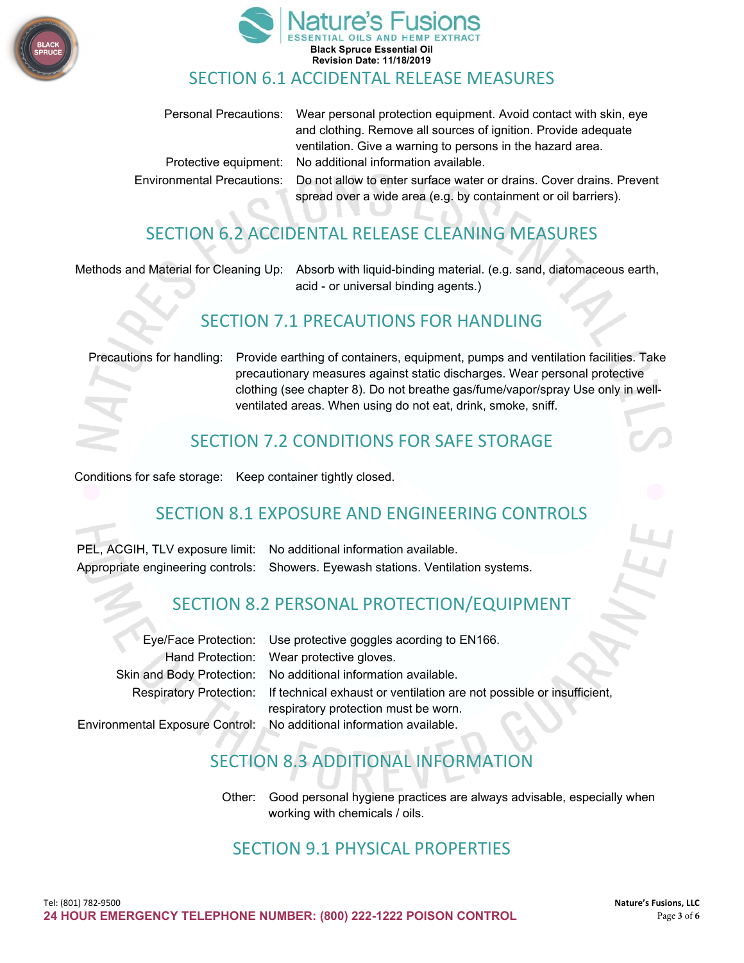



#### SECTION 6.1 ACCIDENTAL RELEASE MEASURES

| Personal Precautions: Wear personal protection equipment. Avoid contact with skin, eye           |
|--------------------------------------------------------------------------------------------------|
| and clothing. Remove all sources of ignition. Provide adequate                                   |
| ventilation. Give a warning to persons in the hazard area.                                       |
| Protective equipment: No additional information available.                                       |
| Environmental Precautions:  Do not allow to enter surface water or drains. Cover drains. Prevent |
| spread over a wide area (e.g. by containment or oil barriers).                                   |

# SECTION 6.2 ACCIDENTAL RELEASE CLEANING MEASURES

Methods and Material for Cleaning Up: Absorb with liquid-binding material. (e.g. sand, diatomaceous earth, acid - or universal binding agents.)

#### SECTION 7.1 PRECAUTIONS FOR HANDLING

Precautions for handling: Provide earthing of containers, equipment, pumps and ventilation facilities. Take precautionary measures against static discharges. Wear personal protective clothing (see chapter 8). Do not breathe gas/fume/vapor/spray Use only in wellventilated areas. When using do not eat, drink, smoke, sniff.

#### SECTION 7.2 CONDITIONS FOR SAFE STORAGE

Conditions for safe storage: Keep container tightly closed.

#### SECTION 8.1 EXPOSURE AND ENGINEERING CONTROLS

PEL, ACGIH, TLV exposure limit: No additional information available. Appropriate engineering controls: Showers. Eyewash stations. Ventilation systems.

#### SECTION 8.2 PERSONAL PROTECTION/EQUIPMENT

| Eye/Face Protection: Use protective goggles acording to EN166.                                                                        |
|---------------------------------------------------------------------------------------------------------------------------------------|
| Hand Protection: Wear protective gloves.                                                                                              |
| Skin and Body Protection: No additional information available.                                                                        |
| Respiratory Protection: If technical exhaust or ventilation are not possible or insufficient,<br>respiratory protection must be worn. |
| Environmental Exposure Control: No additional information available.                                                                  |
|                                                                                                                                       |

# SECTION 8.3 ADDITIONAL INFORM

Other: Good personal hygiene practices are always advisable, especially when working with chemicals / oils.

#### SECTION 9.1 PHYSICAL PROPERTIES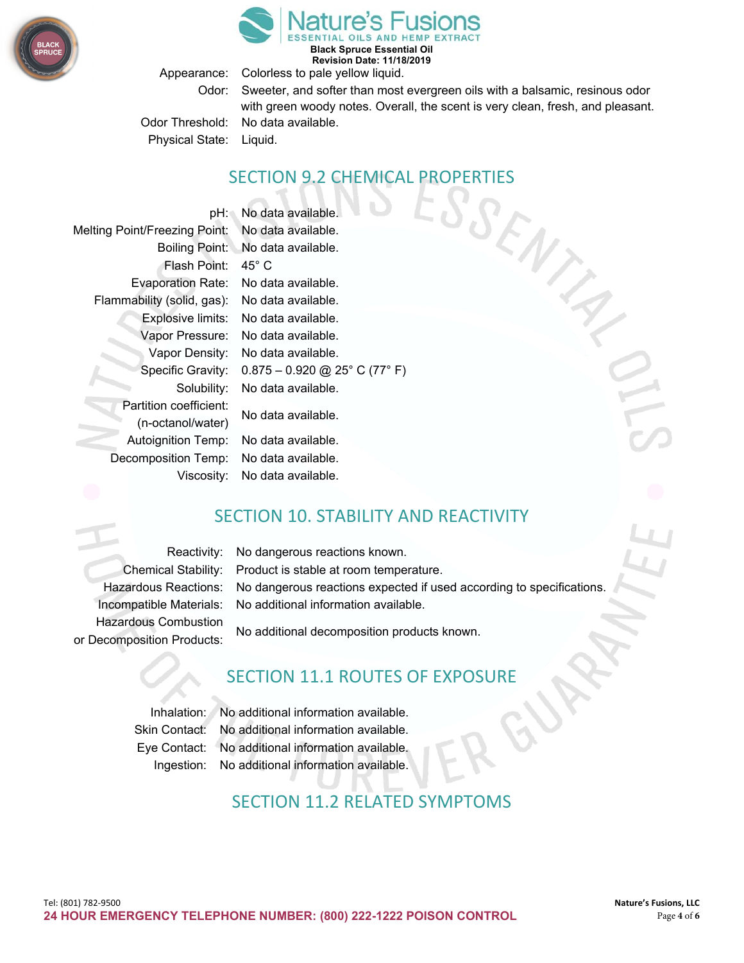

**Black Spruce Essential Oil Revision Date: 11/18/2019**

Appearance: Colorless to pale yellow liquid.

Odor: Sweeter, and softer than most evergreen oils with a balsamic, resinous odor with green woody notes. Overall, the scent is very clean, fresh, and pleasant.

ENTRY

Odor Threshold: No data available. Physical State: Liquid.

#### SECTION 9.2 CHEMICAL PROPERTIES

pH: No data available. Melting Point/Freezing Point: No data available. Boiling Point: No data available. Flash Point: 45° C Evaporation Rate: No data available. Flammability (solid, gas): No data available. Explosive limits: No data available. Vapor Pressure: No data available. Vapor Density: No data available. Specific Gravity: 0.875 – 0.920 @ 25° C (77° F) Solubility: No data available. Partition coefficient: No data available. (n-octanol/water) Autoignition Temp: No data available. Decomposition Temp: No data available. Viscosity: No data available.

#### SECTION 10. STABILITY AND REACTIVITY

Hazardous Combustion

Reactivity: No dangerous reactions known. Chemical Stability: Product is stable at room temperature. Hazardous Reactions: No dangerous reactions expected if used according to specifications. Incompatible Materials: No additional information available.

No additional decomposition products known. or Decomposition Products:

#### SECTION 11.1 ROUTES OF EXPOSURE

Inhalation: No additional information available. Skin Contact: No additional information available. Eye Contact: No additional information available. Ingestion: No additional information available.

## SECTION 11.2 RELATED SYMPTOMS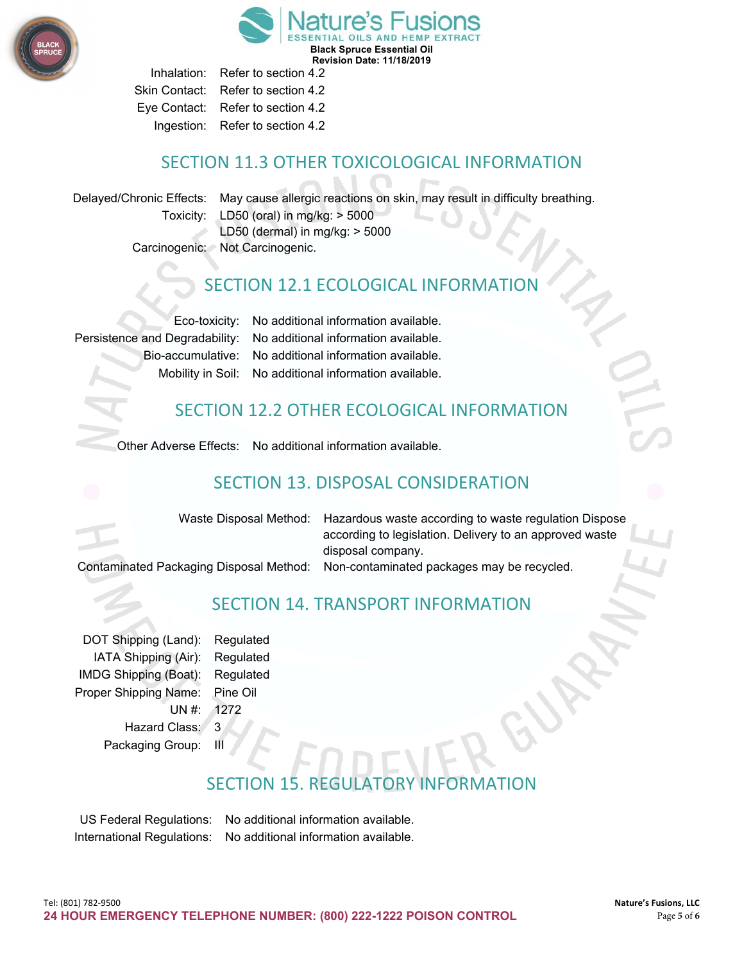

**Black Spruce Essential Oil Revision Date: 11/18/2019**

Inhalation: Refer to section 4.2 Skin Contact: Refer to section 4.2 Eye Contact: Refer to section 4.2 Ingestion: Refer to section 4.2

#### SECTION 11.3 OTHER TOXICOLOGICAL INFORMATION

Delayed/Chronic Effects: May cause allergic reactions on skin, may result in difficulty breathing. Toxicity: LD50 (oral) in mg/kg: > 5000 LD50 (dermal) in mg/kg: > 5000 Carcinogenic: Not Carcinogenic.

## **SECTION 12.1 ECOLOGICAL INFORMATI**

Eco-toxicity: No additional information available. Persistence and Degradability: No additional information available. Bio-accumulative: No additional information available. Mobility in Soil: No additional information available.

## SECTION 12.2 OTHER ECOLOGICAL INFORMATION

Other Adverse Effects: No additional information available.

# SECTION 13. DISPOSAL CONSIDERATION

Waste Disposal Method: Hazardous waste according to waste regulation Dispose according to legislation. Delivery to an approved waste disposal company.

Contaminated Packaging Disposal Method: Non-contaminated packages may be recycled.

SECTION 14. TRANSPORT INFORMATION

DOT Shipping (Land): Regulated IATA Shipping (Air): Regulated IMDG Shipping (Boat): Regulated Proper Shipping Name: Pine Oil UN #: 1272 Hazard Class: 3 Packaging Group:

# **SECTION 15. REGULATO**

US Federal Regulations: No additional information available. International Regulations: No additional information available.